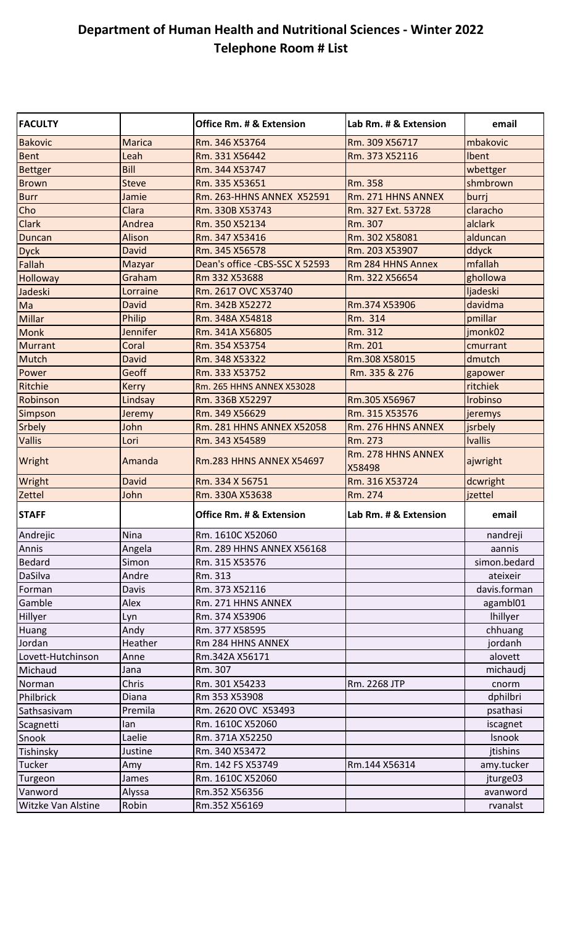## **Department of Human Health and Nutritional Sciences - Winter 2022 Telephone Room # List**

| <b>FACULTY</b>     |                 | <b>Office Rm. # &amp; Extension</b> | Lab Rm. # & Extension        | email           |
|--------------------|-----------------|-------------------------------------|------------------------------|-----------------|
| <b>Bakovic</b>     | <b>Marica</b>   | Rm. 346 X53764                      | Rm. 309 X56717               | mbakovic        |
| <b>Bent</b>        | Leah            | Rm. 331 X56442                      | Rm. 373 X52116               | Ibent           |
| <b>Bettger</b>     | Bill            | Rm. 344 X53747                      |                              | wbettger        |
| <b>Brown</b>       | <b>Steve</b>    | Rm. 335 X53651                      | Rm. 358                      | shmbrown        |
| <b>Burr</b>        | Jamie           | Rm. 263-HHNS ANNEX X52591           | Rm. 271 HHNS ANNEX           | burrj           |
| Cho                | Clara           | Rm. 330B X53743                     | Rm. 327 Ext. 53728           | claracho        |
| <b>Clark</b>       | Andrea          | Rm. 350 X52134                      | Rm. 307                      | alclark         |
| Duncan             | Alison          | Rm. 347 X53416                      | Rm. 302 X58081               | alduncan        |
| <b>Dyck</b>        | <b>David</b>    | Rm. 345 X56578                      | Rm. 203 X53907               | ddyck           |
| Fallah             | Mazyar          | Dean's office -CBS-SSC X 52593      | Rm 284 HHNS Annex            | mfallah         |
| <b>Holloway</b>    | Graham          | Rm 332 X53688                       | Rm. 322 X56654               | ghollowa        |
| Jadeski            | Lorraine        | Rm. 2617 OVC X53740                 |                              | ljadeski        |
| Ma                 | David           | Rm. 342B X52272                     | Rm.374 X53906                | davidma         |
| <b>Millar</b>      | Philip          | Rm. 348A X54818                     | Rm. 314                      | pmillar         |
| <b>Monk</b>        | <b>Jennifer</b> | Rm. 341A X56805                     | Rm. 312                      | jmonk02         |
| <b>Murrant</b>     | Coral           | Rm. 354 X53754                      | Rm. 201                      | cmurrant        |
| Mutch              | David           | Rm. 348 X53322                      | Rm.308 X58015                | dmutch          |
| Power              | Geoff           | Rm. 333 X53752                      | Rm. 335 & 276                | gapower         |
| Ritchie            | Kerry           | Rm. 265 HHNS ANNEX X53028           |                              | ritchiek        |
| Robinson           | Lindsay         | Rm. 336B X52297                     | Rm.305 X56967                | Irobinso        |
| Simpson            | Jeremy          | Rm. 349 X56629                      | Rm. 315 X53576               | jeremys         |
| Srbely             | John            | <b>Rm. 281 HHNS ANNEX X52058</b>    | Rm. 276 HHNS ANNEX           | jsrbely         |
| Vallis             | Lori            | Rm. 343 X54589                      | Rm. 273                      | <b>Ivallis</b>  |
| Wright             | Amanda          | <b>Rm.283 HHNS ANNEX X54697</b>     | Rm. 278 HHNS ANNEX<br>X58498 | ajwright        |
| Wright             | <b>David</b>    | Rm. 334 X 56751                     | Rm. 316 X53724               | dcwright        |
| Zettel             | John            | Rm. 330A X53638                     | Rm. 274                      | jzettel         |
| <b>STAFF</b>       |                 | <b>Office Rm. # &amp; Extension</b> | Lab Rm. # & Extension        | email           |
| Andrejic           | Nina            | Rm. 1610C X52060                    |                              | nandreji        |
| Annis              | Angela          | Rm. 289 HHNS ANNEX X56168           |                              | aannis          |
| <b>Bedard</b>      | Simon           | Rm. 315 X53576                      |                              | simon.bedard    |
| DaSilva            | Andre           | Rm. 313                             |                              | ateixeir        |
| Forman             | Davis           | Rm. 373 X52116                      |                              | davis.forman    |
| Gamble             | Alex            | Rm. 271 HHNS ANNEX                  |                              | agambl01        |
| Hillyer            | Lyn             | Rm. 374 X53906                      |                              | <b>Ihillyer</b> |
| Huang              | Andy            | Rm. 377 X58595                      |                              | chhuang         |
| Jordan             | Heather         | Rm 284 HHNS ANNEX                   |                              | jordanh         |
| Lovett-Hutchinson  | Anne            | Rm.342A X56171                      |                              | alovett         |
| Michaud            | Jana            | Rm. 307                             |                              | michaudj        |
| Norman             | Chris           | Rm. 301 X54233                      | Rm. 2268 JTP                 | cnorm           |
| Philbrick          | Diana           | Rm 353 X53908                       |                              | dphilbri        |
| Sathsasivam        | Premila         | Rm. 2620 OVC X53493                 |                              | psathasi        |
| Scagnetti          | lan             | Rm. 1610C X52060                    |                              | iscagnet        |
| Snook              | Laelie          | Rm. 371A X52250                     |                              | Isnook          |
| Tishinsky          | Justine         | Rm. 340 X53472                      |                              | jtishins        |
| Tucker             | Amy             | Rm. 142 FS X53749                   | Rm.144 X56314                | amy.tucker      |
| Turgeon            | James           | Rm. 1610C X52060                    |                              | jturge03        |
| Vanword            | Alyssa          | Rm.352 X56356                       |                              | avanword        |
| Witzke Van Alstine | Robin           | Rm.352 X56169                       |                              | rvanalst        |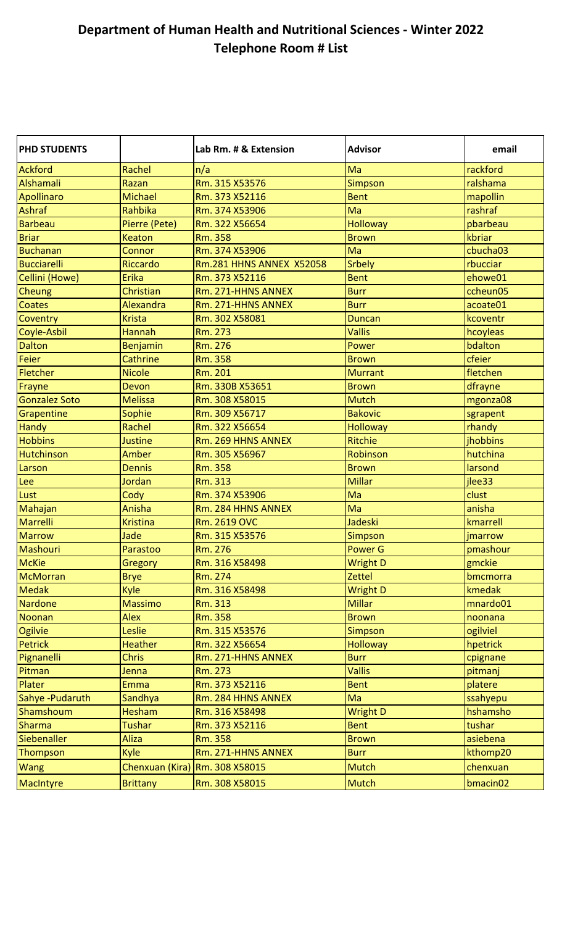## **Department of Human Health and Nutritional Sciences - Winter 2022 Telephone Room # List**

| <b>PHD STUDENTS</b>  |                 | Lab Rm. # & Extension           | <b>Advisor</b>  | email                |
|----------------------|-----------------|---------------------------------|-----------------|----------------------|
| <b>Ackford</b>       | Rachel          | n/a                             | Ma              | rackford             |
| <b>Alshamali</b>     | Razan           | Rm. 315 X53576                  | <b>Simpson</b>  | ralshama             |
| <b>Apollinaro</b>    | <b>Michael</b>  | Rm. 373 X52116                  | <b>Bent</b>     | mapollin             |
| Ashraf               | <b>Rahbika</b>  | Rm. 374 X53906                  | Ma              | rashraf              |
| <b>Barbeau</b>       | Pierre (Pete)   | Rm. 322 X56654                  | <b>Holloway</b> | pbarbeau             |
| <b>Briar</b>         | <b>Keaton</b>   | <b>Rm. 358</b>                  | <b>Brown</b>    | kbriar               |
| <b>Buchanan</b>      | Connor          | Rm. 374 X53906                  | Ma              | cbucha03             |
| <b>Bucciarelli</b>   | <b>Riccardo</b> | <b>Rm.281 HHNS ANNEX X52058</b> | <b>Srbely</b>   | rbucciar             |
| Cellini (Howe)       | <b>Erika</b>    | Rm. 373 X52116                  | <b>Bent</b>     | ehowe01              |
| Cheung               | Christian       | Rm. 271-HHNS ANNEX              | <b>Burr</b>     | ccheun05             |
| <b>Coates</b>        | Alexandra       | Rm. 271-HHNS ANNEX              | <b>Burr</b>     | acoate01             |
| Coventry             | <b>Krista</b>   | Rm. 302 X58081                  | <b>Duncan</b>   | kcoventr             |
| Coyle-Asbil          | <b>Hannah</b>   | Rm. 273                         | <b>Vallis</b>   | hcoyleas             |
| <b>Dalton</b>        | <b>Benjamin</b> | Rm. 276                         | Power           | bdalton              |
| Feier                | Cathrine        | <b>Rm. 358</b>                  | <b>Brown</b>    | cfeier               |
| Fletcher             | <b>Nicole</b>   | Rm. 201                         | <b>Murrant</b>  | fletchen             |
| Frayne               | Devon           | Rm. 330B X53651                 | <b>Brown</b>    | dfrayne              |
| <b>Gonzalez Soto</b> | <b>Melissa</b>  | Rm. 308 X58015                  | <b>Mutch</b>    | mgonza08             |
| Grapentine           | Sophie          | Rm. 309 X56717                  | <b>Bakovic</b>  | sgrapent             |
| <b>Handy</b>         | Rachel          | Rm. 322 X56654                  | <b>Holloway</b> | rhandy               |
| <b>Hobbins</b>       | <b>Justine</b>  | Rm. 269 HHNS ANNEX              | <b>Ritchie</b>  | jhobbins             |
| Hutchinson           | Amber           | Rm. 305 X56967                  | Robinson        | hutchina             |
| Larson               | <b>Dennis</b>   | <b>Rm. 358</b>                  | <b>Brown</b>    | larsond              |
| Lee                  | Jordan          | Rm. 313                         | <b>Millar</b>   | jlee33               |
| Lust                 | Cody            | Rm. 374 X53906                  | Ma              | clust                |
| Mahajan              | Anisha          | Rm. 284 HHNS ANNEX              | Ma              | anisha               |
| <b>Marrelli</b>      | <b>Kristina</b> | Rm. 2619 OVC                    | Jadeski         | kmarrell             |
| <b>Marrow</b>        | Jade            | Rm. 315 X53576                  | <b>Simpson</b>  | jmarrow              |
| Mashouri             | Parastoo        | Rm. 276                         | Power G         | pmashour             |
| <b>McKie</b>         | Gregory         | Rm. 316 X58498                  | <b>Wright D</b> | gmckie               |
| <b>McMorran</b>      | <b>Brye</b>     | Rm. 274                         | <b>Zettel</b>   | bmcmorra             |
| <b>Medak</b>         | Kyle            | Rm. 316 X58498                  | <b>Wright D</b> | kmedak               |
| <b>Nardone</b>       | <b>Massimo</b>  | Rm. 313                         | <b>Millar</b>   | mnardo01             |
| <b>Noonan</b>        | <b>Alex</b>     | <b>Rm. 358</b>                  | <b>Brown</b>    | noonana              |
| Ogilvie              | Leslie          | Rm. 315 X53576                  | <b>Simpson</b>  | ogilviel             |
| <b>Petrick</b>       | <b>Heather</b>  | Rm. 322 X56654                  | <b>Holloway</b> | hpetrick             |
| Pignanelli           | <b>Chris</b>    | Rm. 271-HHNS ANNEX              | <b>Burr</b>     | cpignane             |
| Pitman               | Jenna           | Rm. 273                         | <b>Vallis</b>   | pitmanj              |
| Plater               | <b>Emma</b>     | Rm. 373 X52116                  | <b>Bent</b>     | platere              |
| Sahye-Pudaruth       | Sandhya         | Rm. 284 HHNS ANNEX              | Ma              | ssahyepu             |
| Shamshoum            | <b>Hesham</b>   | Rm. 316 X58498                  | <b>Wright D</b> | hshamsho             |
| <b>Sharma</b>        | <b>Tushar</b>   | Rm. 373 X52116                  | <b>Bent</b>     | tushar               |
| Siebenaller          | <b>Aliza</b>    | <b>Rm. 358</b>                  | <b>Brown</b>    | asiebena             |
| Thompson             | Kyle            | Rm. 271-HHNS ANNEX              | <b>Burr</b>     | kthomp20             |
| <b>Wang</b>          | Chenxuan (Kira) | Rm. 308 X58015                  | <b>Mutch</b>    | chenxuan             |
| <b>MacIntyre</b>     | <b>Brittany</b> | Rm. 308 X58015                  | <b>Mutch</b>    | bmacin <sub>02</sub> |